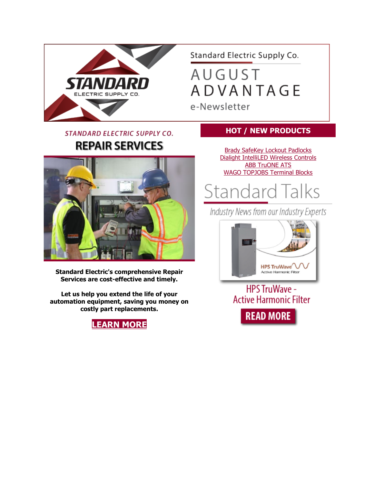

Standard Electric Supply Co.

**AUGUST ADVANTAGE** e-Newsletter

### STANDARD ELECTRIC SUPPLY CO. **REPAIR SERVICES**



**Standard Electric's comprehensive Repair Services are cost-effective and timely.**

**Let us help you extend the life of your automation equipment, saving you money on costly part replacements.**



### **HOT / NEW PRODUCTS**

[Brady SafeKey Lockout Padlocks](http://www.mmsend72.com/link.cfm?r=YsuKdpUxD5Jzbpka39Y24A%7E%7E&pe=p_hMRF_Drjs_TeG0T2ospR8TGFkN84T1Hyx7NC6orXdSWSJ7c26d-KNBUFafGIYOddwNnICSZC4Q9NQAzuF3lA%7E%7E&t=_bv8UzN43F_REfZa0yCjXA%7E%7E) [Dialight IntelliLED Wireless Controls](http://www.mmsend72.com/link.cfm?r=YsuKdpUxD5Jzbpka39Y24A%7E%7E&pe=YqH-kr75Nk00w7nywbSY3lk3mLHZx-cH5Jed_LTGsFlOaUTxTOl7ysFL1Wme-fZNXY8QS-W4TtKTi5Z8g6uxhQ%7E%7E&t=_bv8UzN43F_REfZa0yCjXA%7E%7E) **[ABB TruONE ATS](http://www.mmsend72.com/link.cfm?r=YsuKdpUxD5Jzbpka39Y24A%7E%7E&pe=1SeZ8_914CpN6B611crOk2dBC_UzJQpTRWEMYkkd86E3iXz_C8EkLeJKpqkfbUQhuELyfer6z2oDqWOWf3Uc_w%7E%7E&t=_bv8UzN43F_REfZa0yCjXA%7E%7E)** [WAGO TOPJOBS Terminal Blocks](http://www.mmsend72.com/link.cfm?r=YsuKdpUxD5Jzbpka39Y24A%7E%7E&pe=UKv5dZ8ak6JkrSphY0wGL-MtzPmU9lx0LpATwo3hi8nrT3PUulO8Pa1VSvsqWgOrxV6ZbBx20aeZ0TtqAPNWrw%7E%7E&t=_bv8UzN43F_REfZa0yCjXA%7E%7E)

**Standard Talks** 

Industry News from our Industry Experts



**HPS TruWave -Active Harmonic Filter READ MORE**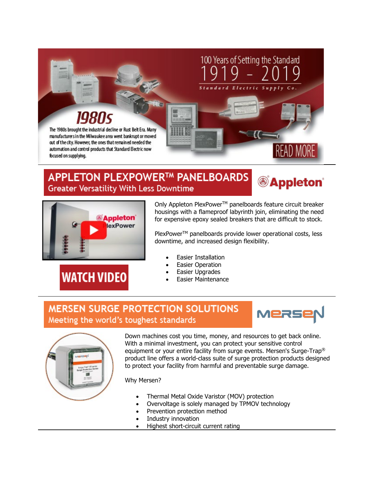

### **APPLETON PLEXPOWER™ PANELBOARDS Greater Versatility With Less Downtime**





**WATCH VIDEO** 

Only Appleton PlexPower™ panelboards feature circuit breaker housings with a flameproof labyrinth join, eliminating the need for expensive epoxy sealed breakers that are difficult to stock.

PlexPower™ panelboards provide lower operational costs, less downtime, and increased design flexibility.

- Easier Installation
- **Easier Operation**
- Easier Upgrades
- Easier Maintenance

### **MERSEN SURGE PROTECTION SOLUTIONS** Meeting the world's toughest standards





Down machines cost you time, money, and resources to get back online. With a minimal investment, you can protect your sensitive control equipment or your entire facility from surge events. Mersen's Surge-Trap® product line offers a world-class suite of surge protection products designed to protect your facility from harmful and preventable surge damage.

#### Why Mersen?

- Thermal Metal Oxide Varistor (MOV) protection
- Overvoltage is solely managed by TPMOV technology
- Prevention protection method
- Industry innovation
- Highest short-circuit current rating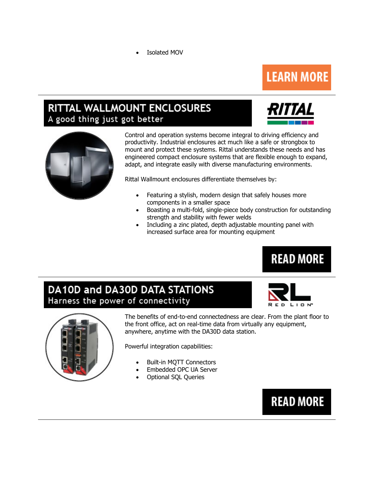**Isolated MOV** 

# **LEARN MORE**

## **RITTAL WALLMOUNT ENCLOSURES** A good thing just got better





Control and operation systems become integral to driving efficiency and productivity. Industrial enclosures act much like a safe or strongbox to mount and protect these systems. Rittal understands these needs and has engineered compact enclosure systems that are flexible enough to expand, adapt, and integrate easily with diverse manufacturing environments.

Rittal Wallmount enclosures differentiate themselves by:

- Featuring a stylish, modern design that safely houses more components in a smaller space
- Boasting a multi-fold, single-piece body construction for outstanding strength and stability with fewer welds
- Including a zinc plated, depth adjustable mounting panel with increased surface area for mounting equipment

### DA10D and DA30D DATA STATIONS Harness the power of connectivity



**READ MORE** 



The benefits of end-to-end connectedness are clear. From the plant floor to the front office, act on real-time data from virtually any equipment, anywhere, anytime with the DA30D data station.

Powerful integration capabilities:

- Built-in MQTT Connectors
- Embedded OPC UA Server
- Optional SQL Queries

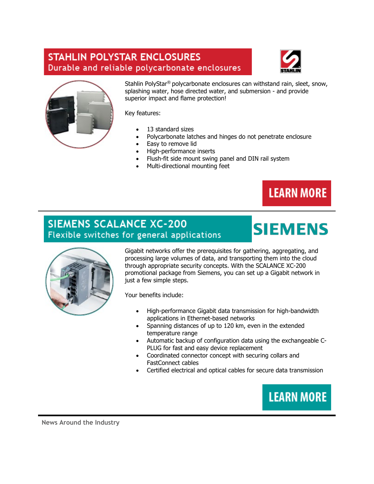### **STAHLIN POLYSTAR ENCLOSURES** Durable and reliable polycarbonate enclosures





Stahlin PolyStar® polycarbonate enclosures can withstand rain, sleet, snow, splashing water, hose directed water, and submersion - and provide superior impact and flame protection!

Key features:

- 13 standard sizes
- Polycarbonate latches and hinges do not penetrate enclosure
- Easy to remove lid
- High-performance inserts
- Flush-fit side mount swing panel and DIN rail system
- Multi-directional mounting feet



**SIEMENS** 

### **SIEMENS SCALANCE XC-200** Flexible switches for general applications



Gigabit networks offer the prerequisites for gathering, aggregating, and processing large volumes of data, and transporting them into the cloud through appropriate security concepts. With the SCALANCE XC-200 promotional package from Siemens, you can set up a Gigabit network in just a few simple steps.

Your benefits include:

- High-performance Gigabit data transmission for high-bandwidth applications in Ethernet-based networks
- Spanning distances of up to 120 km, even in the extended temperature range
- Automatic backup of configuration data using the exchangeable C-PLUG for fast and easy device replacement
- Coordinated connector concept with securing collars and FastConnect cables
- Certified electrical and optical cables for secure data transmission



**News Around the Industry**